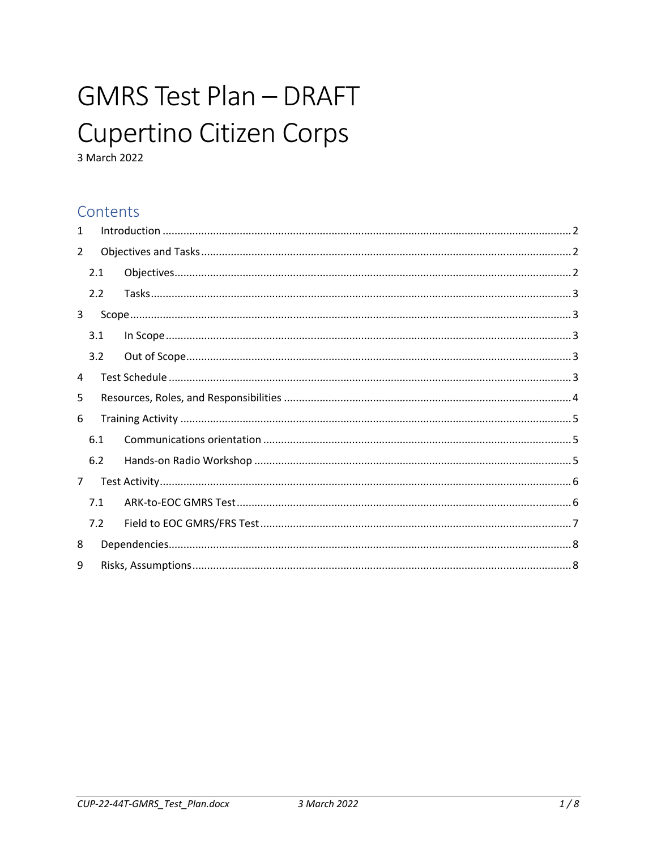# **GMRS Test Plan - DRAFT** Cupertino Citizen Corps

3 March 2022

## Contents

| $\mathbf{1}$   |     |  |  |  |  |
|----------------|-----|--|--|--|--|
| $\overline{2}$ |     |  |  |  |  |
|                | 2.1 |  |  |  |  |
|                | 2.2 |  |  |  |  |
| 3              |     |  |  |  |  |
|                | 3.1 |  |  |  |  |
|                | 3.2 |  |  |  |  |
| 4              |     |  |  |  |  |
| 5              |     |  |  |  |  |
| 6              |     |  |  |  |  |
|                | 6.1 |  |  |  |  |
|                | 6.2 |  |  |  |  |
| $\overline{7}$ |     |  |  |  |  |
|                | 7.1 |  |  |  |  |
|                | 7.2 |  |  |  |  |
| 8              |     |  |  |  |  |
| 9              |     |  |  |  |  |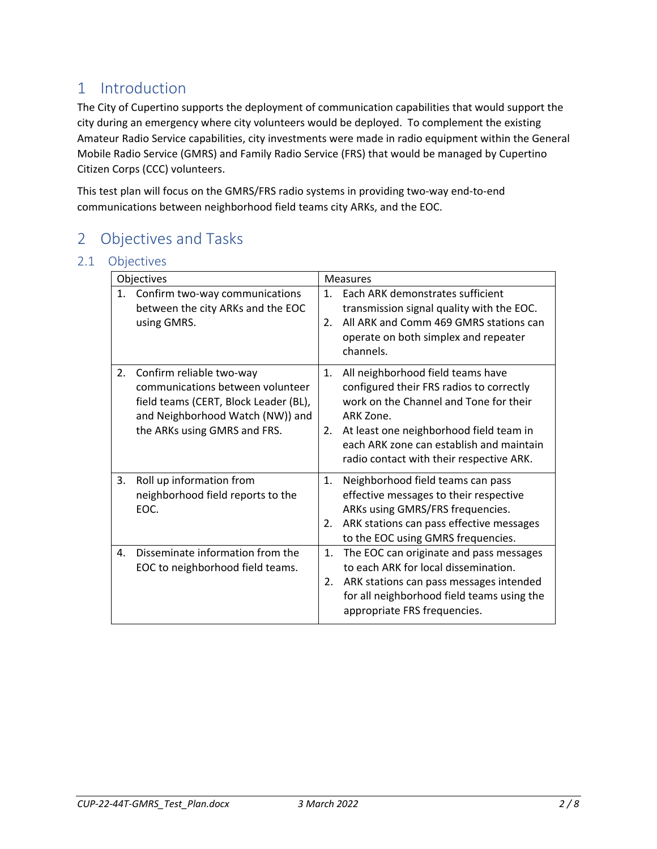# 1 Introduction

The City of Cupertino supports the deployment of communication capabilities that would support the city during an emergency where city volunteers would be deployed. To complement the existing Amateur Radio Service capabilities, city investments were made in radio equipment within the General Mobile Radio Service (GMRS) and Family Radio Service (FRS) that would be managed by Cupertino Citizen Corps (CCC) volunteers.

This test plan will focus on the GMRS/FRS radio systems in providing two‐way end‐to‐end communications between neighborhood field teams city ARKs, and the EOC.

# 2 Objectives and Tasks

#### 2.1 Objectives

| Objectives |                                                                                                                                                                           |                      | <b>Measures</b>                                                                                                                                                                                                                                                         |
|------------|---------------------------------------------------------------------------------------------------------------------------------------------------------------------------|----------------------|-------------------------------------------------------------------------------------------------------------------------------------------------------------------------------------------------------------------------------------------------------------------------|
| 1.         | Confirm two-way communications<br>between the city ARKs and the EOC<br>using GMRS.                                                                                        | $\mathbf{1}$ .<br>2. | Each ARK demonstrates sufficient<br>transmission signal quality with the EOC.<br>All ARK and Comm 469 GMRS stations can<br>operate on both simplex and repeater<br>channels.                                                                                            |
| 2.         | Confirm reliable two-way<br>communications between volunteer<br>field teams (CERT, Block Leader (BL),<br>and Neighborhood Watch (NW)) and<br>the ARKs using GMRS and FRS. | 1.<br>2.             | All neighborhood field teams have<br>configured their FRS radios to correctly<br>work on the Channel and Tone for their<br>ARK Zone.<br>At least one neighborhood field team in<br>each ARK zone can establish and maintain<br>radio contact with their respective ARK. |
| 3.         | Roll up information from<br>neighborhood field reports to the<br>EOC.                                                                                                     | 1.<br>2.             | Neighborhood field teams can pass<br>effective messages to their respective<br>ARKs using GMRS/FRS frequencies.<br>ARK stations can pass effective messages<br>to the EOC using GMRS frequencies.                                                                       |
| 4.         | Disseminate information from the<br>EOC to neighborhood field teams.                                                                                                      | 1.<br>2.             | The EOC can originate and pass messages<br>to each ARK for local dissemination.<br>ARK stations can pass messages intended<br>for all neighborhood field teams using the<br>appropriate FRS frequencies.                                                                |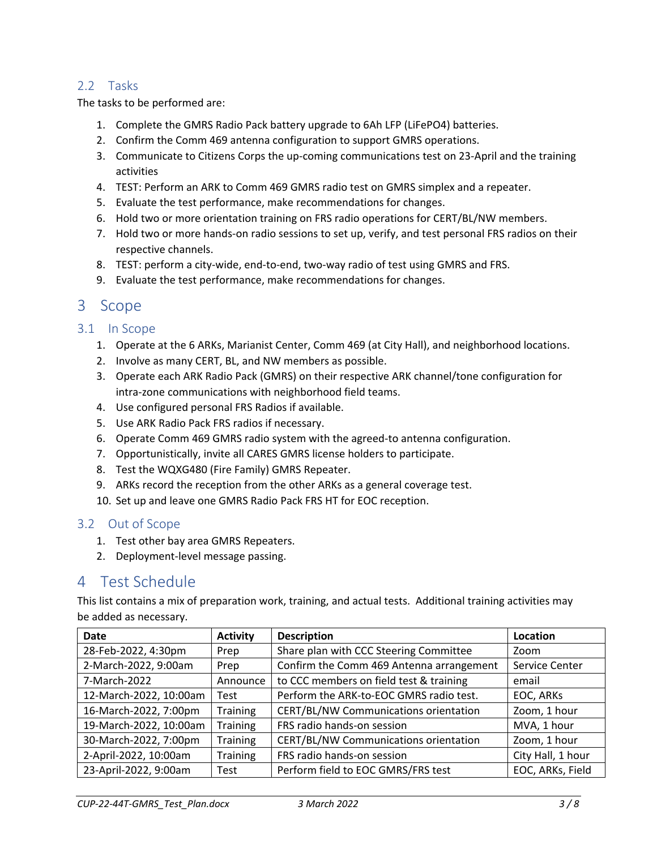#### 2.2 Tasks

The tasks to be performed are:

- 1. Complete the GMRS Radio Pack battery upgrade to 6Ah LFP (LiFePO4) batteries.
- 2. Confirm the Comm 469 antenna configuration to support GMRS operations.
- 3. Communicate to Citizens Corps the up-coming communications test on 23-April and the training activities
- 4. TEST: Perform an ARK to Comm 469 GMRS radio test on GMRS simplex and a repeater.
- 5. Evaluate the test performance, make recommendations for changes.
- 6. Hold two or more orientation training on FRS radio operations for CERT/BL/NW members.
- 7. Hold two or more hands-on radio sessions to set up, verify, and test personal FRS radios on their respective channels.
- 8. TEST: perform a city-wide, end-to-end, two-way radio of test using GMRS and FRS.
- 9. Evaluate the test performance, make recommendations for changes.

## 3 Scope

#### 3.1 In Scope

- 1. Operate at the 6 ARKs, Marianist Center, Comm 469 (at City Hall), and neighborhood locations.
- 2. Involve as many CERT, BL, and NW members as possible.
- 3. Operate each ARK Radio Pack (GMRS) on their respective ARK channel/tone configuration for intra‐zone communications with neighborhood field teams.
- 4. Use configured personal FRS Radios if available.
- 5. Use ARK Radio Pack FRS radios if necessary.
- 6. Operate Comm 469 GMRS radio system with the agreed‐to antenna configuration.
- 7. Opportunistically, invite all CARES GMRS license holders to participate.
- 8. Test the WQXG480 (Fire Family) GMRS Repeater.
- 9. ARKs record the reception from the other ARKs as a general coverage test.
- 10. Set up and leave one GMRS Radio Pack FRS HT for EOC reception.

#### 3.2 Out of Scope

- 1. Test other bay area GMRS Repeaters.
- 2. Deployment‐level message passing.

### 4 Test Schedule

This list contains a mix of preparation work, training, and actual tests. Additional training activities may be added as necessary.

| <b>Date</b>            | <b>Activity</b> | <b>Description</b>                       | Location          |
|------------------------|-----------------|------------------------------------------|-------------------|
| 28-Feb-2022, 4:30pm    | Prep            | Share plan with CCC Steering Committee   | Zoom              |
| 2-March-2022, 9:00am   | Prep            | Confirm the Comm 469 Antenna arrangement | Service Center    |
| 7-March-2022           | Announce        | to CCC members on field test & training  | email             |
| 12-March-2022, 10:00am | Test            | Perform the ARK-to-EOC GMRS radio test.  | EOC, ARKs         |
| 16-March-2022, 7:00pm  | Training        | CERT/BL/NW Communications orientation    | Zoom, 1 hour      |
| 19-March-2022, 10:00am | <b>Training</b> | FRS radio hands-on session               | MVA, 1 hour       |
| 30-March-2022, 7:00pm  | Training        | CERT/BL/NW Communications orientation    | Zoom, 1 hour      |
| 2-April-2022, 10:00am  | Training        | FRS radio hands-on session               | City Hall, 1 hour |
| 23-April-2022, 9:00am  | Test            | Perform field to EOC GMRS/FRS test       | EOC, ARKs, Field  |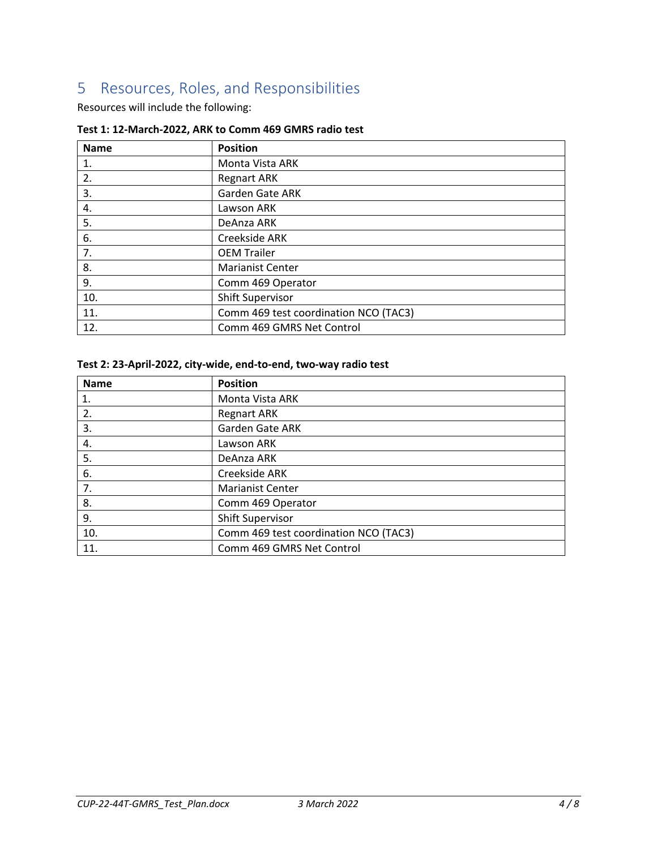# 5 Resources, Roles, and Responsibilities

Resources will include the following:

| <b>Name</b> | <b>Position</b>                       |
|-------------|---------------------------------------|
| 1.          | Monta Vista ARK                       |
| 2.          | <b>Regnart ARK</b>                    |
| 3.          | <b>Garden Gate ARK</b>                |
| 4.          | Lawson ARK                            |
| 5.          | DeAnza ARK                            |
| 6.          | Creekside ARK                         |
| 7.          | <b>OEM Trailer</b>                    |
| 8.          | <b>Marianist Center</b>               |
| 9.          | Comm 469 Operator                     |
| 10.         | <b>Shift Supervisor</b>               |
| 11.         | Comm 469 test coordination NCO (TAC3) |
| 12.         | Comm 469 GMRS Net Control             |

#### **Test 1: 12‐March‐2022, ARK to Comm 469 GMRS radio test**

#### **Test 2: 23‐April‐2022, city‐wide, end‐to‐end, two‐way radio test**

| <b>Name</b> | <b>Position</b>                       |
|-------------|---------------------------------------|
| 1.          | Monta Vista ARK                       |
| 2.          | <b>Regnart ARK</b>                    |
| 3.          | Garden Gate ARK                       |
| 4.          | Lawson ARK                            |
| 5.          | DeAnza ARK                            |
| 6.          | Creekside ARK                         |
| 7.          | <b>Marianist Center</b>               |
| 8.          | Comm 469 Operator                     |
| 9.          | <b>Shift Supervisor</b>               |
| 10.         | Comm 469 test coordination NCO (TAC3) |
| 11.         | Comm 469 GMRS Net Control             |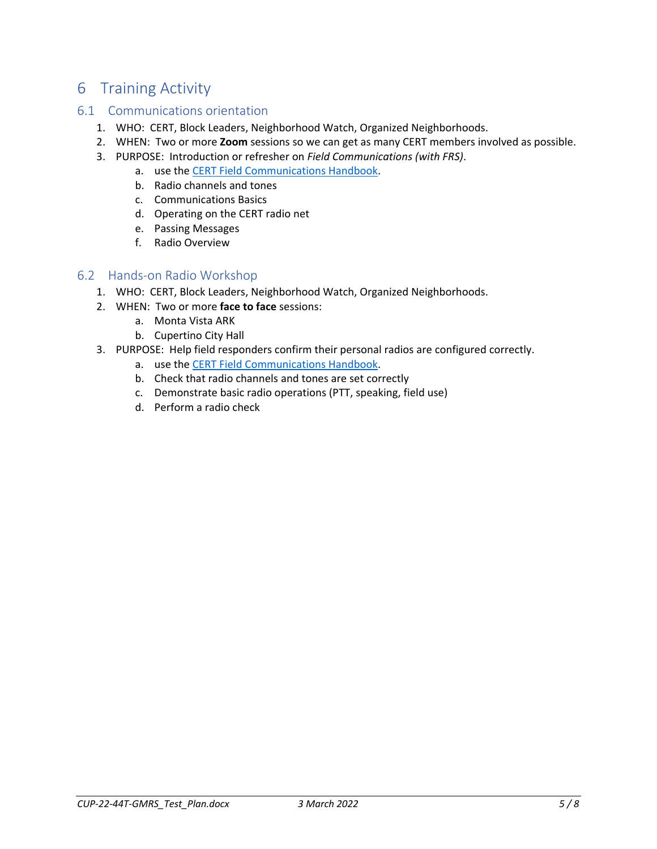# 6 Training Activity

#### 6.1 Communications orientation

- 1. WHO: CERT, Block Leaders, Neighborhood Watch, Organized Neighborhoods.
- 2. WHEN: Two or more **Zoom** sessions so we can get as many CERT members involved as possible.
- 3. PURPOSE: Introduction or refresher on *Field Communications (with FRS)*.
	- a. use the CERT Field Communications Handbook.
		- b. Radio channels and tones
		- c. Communications Basics
		- d. Operating on the CERT radio net
		- e. Passing Messages
		- f. Radio Overview

#### 6.2 Hands‐on Radio Workshop

- 1. WHO: CERT, Block Leaders, Neighborhood Watch, Organized Neighborhoods.
- 2. WHEN: Two or more **face to face** sessions:
	- a. Monta Vista ARK
	- b. Cupertino City Hall
- 3. PURPOSE: Help field responders confirm their personal radios are configured correctly.
	- a. use the CERT Field Communications Handbook.
	- b. Check that radio channels and tones are set correctly
	- c. Demonstrate basic radio operations (PTT, speaking, field use)
	- d. Perform a radio check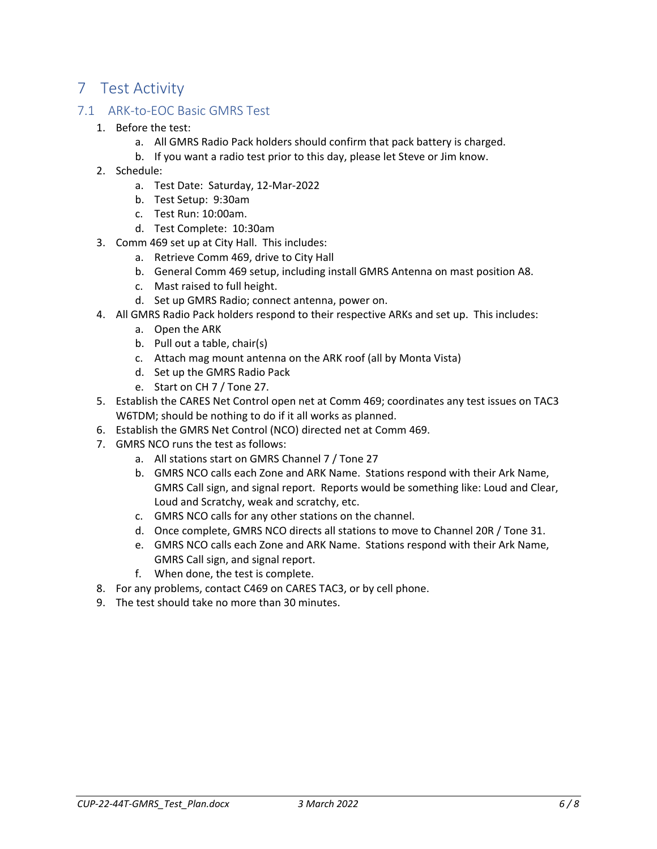# 7 Test Activity

#### 7.1 ARK‐to‐EOC Basic GMRS Test

- 1. Before the test:
	- a. All GMRS Radio Pack holders should confirm that pack battery is charged.
	- b. If you want a radio test prior to this day, please let Steve or Jim know.
- 2. Schedule:
	- a. Test Date: Saturday, 12‐Mar‐2022
	- b. Test Setup: 9:30am
	- c. Test Run: 10:00am.
	- d. Test Complete: 10:30am
- 3. Comm 469 set up at City Hall. This includes:
	- a. Retrieve Comm 469, drive to City Hall
	- b. General Comm 469 setup, including install GMRS Antenna on mast position A8.
	- c. Mast raised to full height.
	- d. Set up GMRS Radio; connect antenna, power on.
- 4. All GMRS Radio Pack holders respond to their respective ARKs and set up. This includes:
	- a. Open the ARK
	- b. Pull out a table, chair(s)
	- c. Attach mag mount antenna on the ARK roof (all by Monta Vista)
	- d. Set up the GMRS Radio Pack
	- e. Start on CH 7 / Tone 27.
- 5. Establish the CARES Net Control open net at Comm 469; coordinates any test issues on TAC3 W6TDM; should be nothing to do if it all works as planned.
- 6. Establish the GMRS Net Control (NCO) directed net at Comm 469.
- 7. GMRS NCO runs the test as follows:
	- a. All stations start on GMRS Channel 7 / Tone 27
	- b. GMRS NCO calls each Zone and ARK Name. Stations respond with their Ark Name, GMRS Call sign, and signal report. Reports would be something like: Loud and Clear, Loud and Scratchy, weak and scratchy, etc.
	- c. GMRS NCO calls for any other stations on the channel.
	- d. Once complete, GMRS NCO directs all stations to move to Channel 20R / Tone 31.
	- e. GMRS NCO calls each Zone and ARK Name. Stations respond with their Ark Name, GMRS Call sign, and signal report.
	- f. When done, the test is complete.
- 8. For any problems, contact C469 on CARES TAC3, or by cell phone.
- 9. The test should take no more than 30 minutes.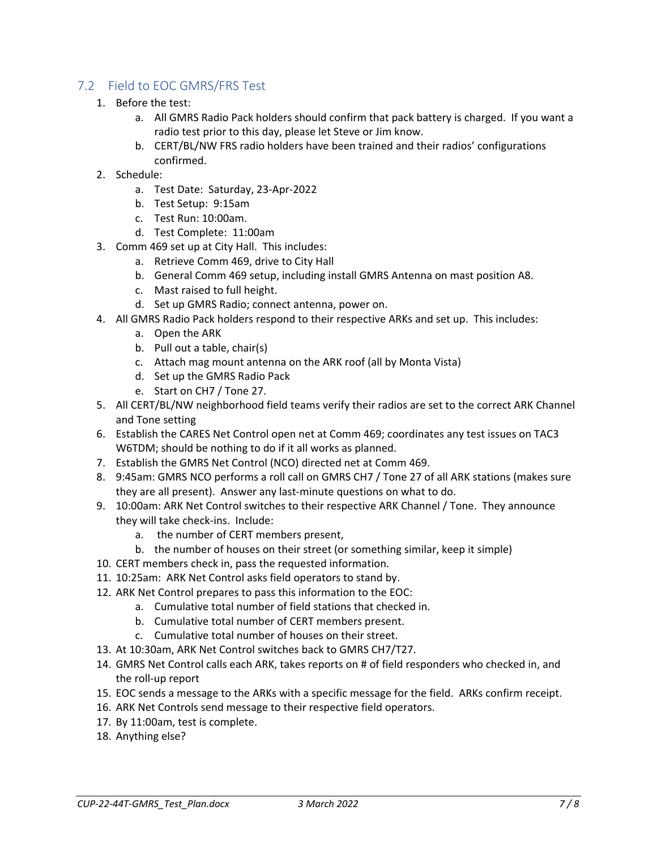#### 7.2 Field to EOC GMRS/FRS Test

- 1. Before the test:
	- a. All GMRS Radio Pack holders should confirm that pack battery is charged. If you want a radio test prior to this day, please let Steve or Jim know.
	- b. CERT/BL/NW FRS radio holders have been trained and their radios' configurations confirmed.
- 2. Schedule:
	- a. Test Date: Saturday, 23‐Apr‐2022
	- b. Test Setup: 9:15am
	- c. Test Run: 10:00am.
	- d. Test Complete: 11:00am
- 3. Comm 469 set up at City Hall. This includes:
	- a. Retrieve Comm 469, drive to City Hall
	- b. General Comm 469 setup, including install GMRS Antenna on mast position A8.
	- c. Mast raised to full height.
	- d. Set up GMRS Radio; connect antenna, power on.
- 4. All GMRS Radio Pack holders respond to their respective ARKs and set up. This includes:
	- a. Open the ARK
	- b. Pull out a table, chair(s)
	- c. Attach mag mount antenna on the ARK roof (all by Monta Vista)
	- d. Set up the GMRS Radio Pack
	- e. Start on CH7 / Tone 27.
- 5. All CERT/BL/NW neighborhood field teams verify their radios are set to the correct ARK Channel and Tone setting
- 6. Establish the CARES Net Control open net at Comm 469; coordinates any test issues on TAC3 W6TDM; should be nothing to do if it all works as planned.
- 7. Establish the GMRS Net Control (NCO) directed net at Comm 469.
- 8. 9:45am: GMRS NCO performs a roll call on GMRS CH7 / Tone 27 of all ARK stations (makes sure they are all present). Answer any last‐minute questions on what to do.
- 9. 10:00am: ARK Net Control switches to their respective ARK Channel / Tone. They announce they will take check‐ins. Include:
	- a. the number of CERT members present,
	- b. the number of houses on their street (or something similar, keep it simple)
- 10. CERT members check in, pass the requested information.
- 11. 10:25am: ARK Net Control asks field operators to stand by.
- 12. ARK Net Control prepares to pass this information to the EOC:
	- a. Cumulative total number of field stations that checked in.
	- b. Cumulative total number of CERT members present.
	- c. Cumulative total number of houses on their street.
- 13. At 10:30am, ARK Net Control switches back to GMRS CH7/T27.
- 14. GMRS Net Control calls each ARK, takes reports on # of field responders who checked in, and the roll‐up report
- 15. EOC sends a message to the ARKs with a specific message for the field. ARKs confirm receipt.
- 16. ARK Net Controls send message to their respective field operators.
- 17. By 11:00am, test is complete.
- 18. Anything else?